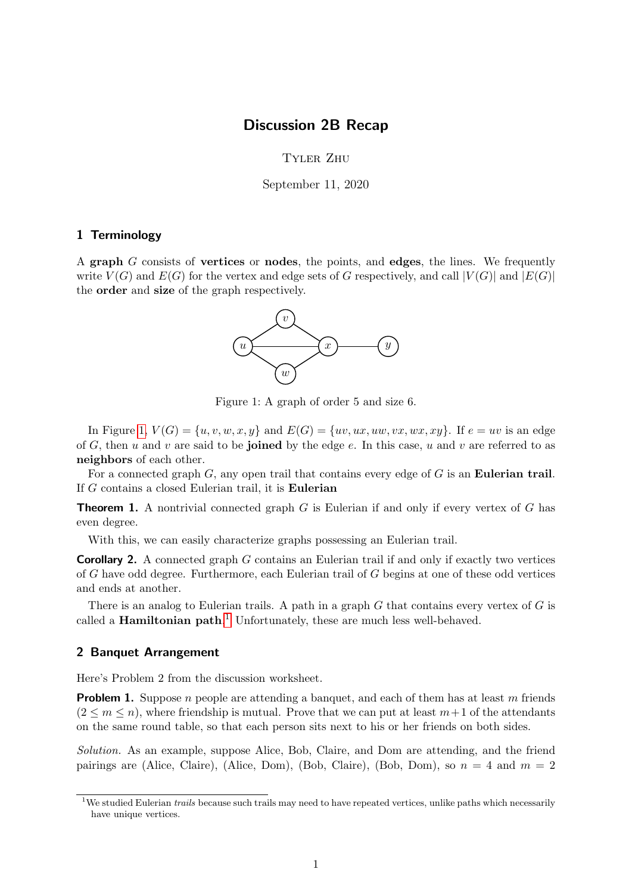## Discussion 2B Recap

## Tyler Zhu

September 11, 2020

## 1 Terminology

<span id="page-0-0"></span>A graph G consists of vertices or nodes, the points, and edges, the lines. We frequently write  $V(G)$  and  $E(G)$  for the vertex and edge sets of G respectively, and call  $|V(G)|$  and  $|E(G)|$ the order and size of the graph respectively.



Figure 1: A graph of order 5 and size 6.

In Figure [1,](#page-0-0)  $V(G) = \{u, v, w, x, y\}$  and  $E(G) = \{uv, ux, uw, vx, wx, xy\}$ . If  $e = uv$  is an edge of G, then u and v are said to be joined by the edge  $e$ . In this case, u and v are referred to as neighbors of each other.

For a connected graph  $G$ , any open trail that contains every edge of  $G$  is an **Eulerian trail**. If G contains a closed Eulerian trail, it is Eulerian

**Theorem 1.** A nontrivial connected graph  $G$  is Eulerian if and only if every vertex of  $G$  has even degree.

With this, we can easily characterize graphs possessing an Eulerian trail.

**Corollary 2.** A connected graph G contains an Eulerian trail if and only if exactly two vertices of G have odd degree. Furthermore, each Eulerian trail of G begins at one of these odd vertices and ends at another.

There is an analog to Eulerian trails. A path in a graph  $G$  that contains every vertex of  $G$  is called a **Hamiltonian path**.<sup>[1](#page-0-1)</sup> Unfortunately, these are much less well-behaved.

## 2 Banquet Arrangement

Here's Problem 2 from the discussion worksheet.

**Problem 1.** Suppose n people are attending a banquet, and each of them has at least m friends  $(2 \leq m \leq n)$ , where friendship is mutual. Prove that we can put at least  $m+1$  of the attendants on the same round table, so that each person sits next to his or her friends on both sides.

Solution. As an example, suppose Alice, Bob, Claire, and Dom are attending, and the friend pairings are (Alice, Claire), (Alice, Dom), (Bob, Claire), (Bob, Dom), so  $n = 4$  and  $m = 2$ 

<span id="page-0-1"></span><sup>&</sup>lt;sup>1</sup>We studied Eulerian *trails* because such trails may need to have repeated vertices, unlike paths which necessarily have unique vertices.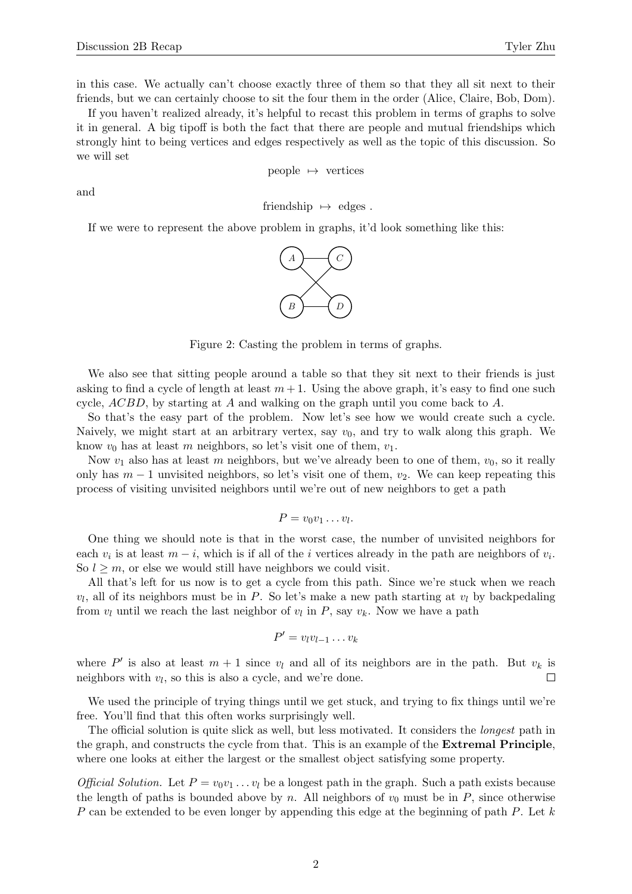in this case. We actually can't choose exactly three of them so that they all sit next to their friends, but we can certainly choose to sit the four them in the order (Alice, Claire, Bob, Dom).

If you haven't realized already, it's helpful to recast this problem in terms of graphs to solve it in general. A big tipoff is both the fact that there are people and mutual friendships which strongly hint to being vertices and edges respectively as well as the topic of this discussion. So we will set

people 
$$
\mapsto
$$
 vertices

and

friendship  $\mapsto$  edges .

If we were to represent the above problem in graphs, it'd look something like this:



Figure 2: Casting the problem in terms of graphs.

We also see that sitting people around a table so that they sit next to their friends is just asking to find a cycle of length at least  $m+1$ . Using the above graph, it's easy to find one such cycle,  $ACBD$ , by starting at A and walking on the graph until you come back to A.

So that's the easy part of the problem. Now let's see how we would create such a cycle. Naively, we might start at an arbitrary vertex, say  $v_0$ , and try to walk along this graph. We know  $v_0$  has at least m neighbors, so let's visit one of them,  $v_1$ .

Now  $v_1$  also has at least m neighbors, but we've already been to one of them,  $v_0$ , so it really only has  $m-1$  unvisited neighbors, so let's visit one of them,  $v_2$ . We can keep repeating this process of visiting unvisited neighbors until we're out of new neighbors to get a path

$$
P=v_0v_1\ldots v_l.
$$

One thing we should note is that in the worst case, the number of unvisited neighbors for each  $v_i$  is at least  $m - i$ , which is if all of the *i* vertices already in the path are neighbors of  $v_i$ . So  $l \geq m$ , or else we would still have neighbors we could visit.

All that's left for us now is to get a cycle from this path. Since we're stuck when we reach  $v_l$ , all of its neighbors must be in P. So let's make a new path starting at  $v_l$  by backpedaling from  $v_l$  until we reach the last neighbor of  $v_l$  in  $P$ , say  $v_k$ . Now we have a path

$$
P' = v_l v_{l-1} \dots v_k
$$

where P' is also at least  $m + 1$  since  $v_l$  and all of its neighbors are in the path. But  $v_k$  is  $\Box$ neighbors with  $v_l$ , so this is also a cycle, and we're done.

We used the principle of trying things until we get stuck, and trying to fix things until we're free. You'll find that this often works surprisingly well.

The official solution is quite slick as well, but less motivated. It considers the longest path in the graph, and constructs the cycle from that. This is an example of the Extremal Principle, where one looks at either the largest or the smallest object satisfying some property.

*Official Solution.* Let  $P = v_0v_1 \ldots v_l$  be a longest path in the graph. Such a path exists because the length of paths is bounded above by n. All neighbors of  $v_0$  must be in P, since otherwise P can be extended to be even longer by appending this edge at the beginning of path P. Let  $k$